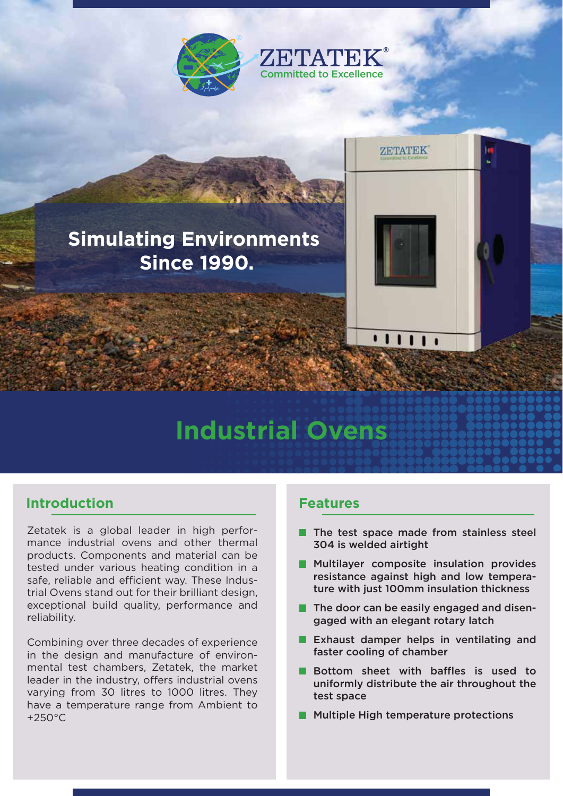

# **Simulating Environments Since 1990.**

# **Industrial Ovens**

### **Introduction**

Zetatek is a global leader in high performance industrial ovens and other thermal products. Components and material can be tested under various heating condition in a safe, reliable and efficient way. These Industrial Ovens stand out for their brilliant design, exceptional build quality, performance and reliability.

Combining over three decades of experience in the design and manufacture of environmental test chambers, Zetatek, the market leader in the industry, offers industrial ovens varying from 30 litres to 1000 litres. They have a temperature range from Ambient to +250°C

#### **Features**

The test space made from stainless steel 304 is welded airtight

 $111$ 

**ZETATEK** 

- **Multilayer composite insulation provides** resistance against high and low temperature with just 100mm insulation thickness
- **The door can be easily engaged and disen**gaged with an elegant rotary latch
- **Exhaust damper helps in ventilating and** faster cooling of chamber
- **Bottom sheet with baffles is used to** uniformly distribute the air throughout the test space
- **Multiple High temperature protections**